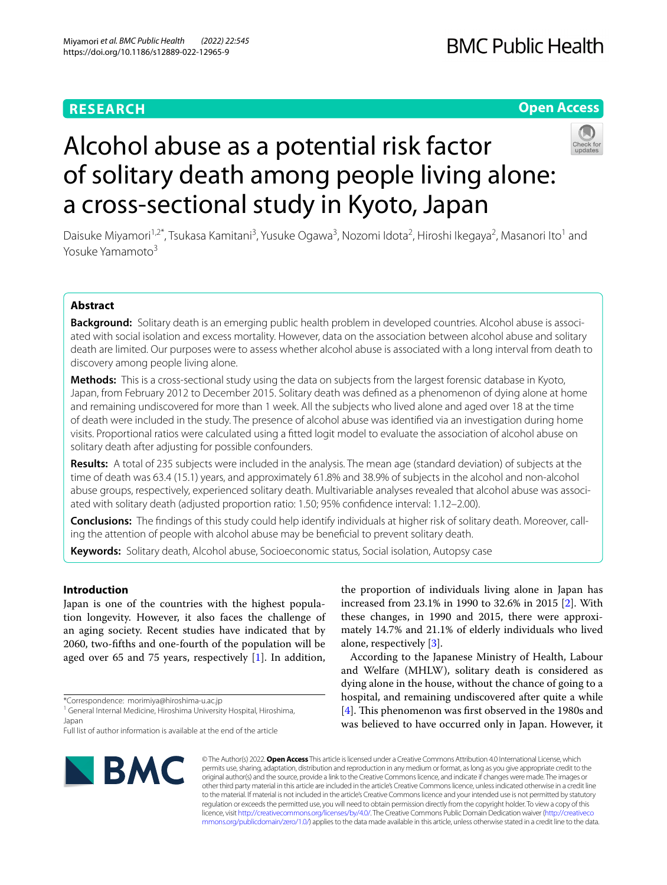# **RESEARCH**

# **Open Access**



# Alcohol abuse as a potential risk factor of solitary death among people living alone: a cross-sectional study in Kyoto, Japan

Daisuke Miyamori<sup>1,2\*</sup>, Tsukasa Kamitani<sup>3</sup>, Yusuke Ogawa<sup>3</sup>, Nozomi Idota<sup>2</sup>, Hiroshi Ikegaya<sup>2</sup>, Masanori Ito<sup>1</sup> and Yosuke Yamamoto<sup>3</sup>

# **Abstract**

**Background:** Solitary death is an emerging public health problem in developed countries. Alcohol abuse is associated with social isolation and excess mortality. However, data on the association between alcohol abuse and solitary death are limited. Our purposes were to assess whether alcohol abuse is associated with a long interval from death to discovery among people living alone.

**Methods:** This is a cross-sectional study using the data on subjects from the largest forensic database in Kyoto, Japan, from February 2012 to December 2015. Solitary death was defned as a phenomenon of dying alone at home and remaining undiscovered for more than 1 week. All the subjects who lived alone and aged over 18 at the time of death were included in the study. The presence of alcohol abuse was identifed via an investigation during home visits. Proportional ratios were calculated using a ftted logit model to evaluate the association of alcohol abuse on solitary death after adjusting for possible confounders.

**Results:** A total of 235 subjects were included in the analysis. The mean age (standard deviation) of subjects at the time of death was 63.4 (15.1) years, and approximately 61.8% and 38.9% of subjects in the alcohol and non-alcohol abuse groups, respectively, experienced solitary death. Multivariable analyses revealed that alcohol abuse was associated with solitary death (adjusted proportion ratio: 1.50; 95% confdence interval: 1.12–2.00).

**Conclusions:** The fndings of this study could help identify individuals at higher risk of solitary death. Moreover, calling the attention of people with alcohol abuse may be benefcial to prevent solitary death.

**Keywords:** Solitary death, Alcohol abuse, Socioeconomic status, Social isolation, Autopsy case

# **Introduction**

Japan is one of the countries with the highest population longevity. However, it also faces the challenge of an aging society. Recent studies have indicated that by 2060, two-ffths and one-fourth of the population will be aged over 65 and 75 years, respectively [\[1\]](#page-6-0). In addition, increased from 23.1% in 1990 to 32.6% in 2015 [[2\]](#page-6-1). With these changes, in 1990 and 2015, there were approximately 14.7% and 21.1% of elderly individuals who lived alone, respectively [\[3](#page-6-2)]. According to the Japanese Ministry of Health, Labour

the proportion of individuals living alone in Japan has

and Welfare (MHLW), solitary death is considered as dying alone in the house, without the chance of going to a hospital, and remaining undiscovered after quite a while [[4\]](#page-6-3). This phenomenon was first observed in the 1980s and was believed to have occurred only in Japan. However, it



© The Author(s) 2022. **Open Access** This article is licensed under a Creative Commons Attribution 4.0 International License, which permits use, sharing, adaptation, distribution and reproduction in any medium or format, as long as you give appropriate credit to the original author(s) and the source, provide a link to the Creative Commons licence, and indicate if changes were made. The images or other third party material in this article are included in the article's Creative Commons licence, unless indicated otherwise in a credit line to the material. If material is not included in the article's Creative Commons licence and your intended use is not permitted by statutory regulation or exceeds the permitted use, you will need to obtain permission directly from the copyright holder. To view a copy of this licence, visit [http://creativecommons.org/licenses/by/4.0/.](http://creativecommons.org/licenses/by/4.0/) The Creative Commons Public Domain Dedication waiver ([http://creativeco](http://creativecommons.org/publicdomain/zero/1.0/) [mmons.org/publicdomain/zero/1.0/](http://creativecommons.org/publicdomain/zero/1.0/)) applies to the data made available in this article, unless otherwise stated in a credit line to the data.

<sup>\*</sup>Correspondence: morimiya@hiroshima-u.ac.jp

<sup>&</sup>lt;sup>1</sup> General Internal Medicine, Hiroshima University Hospital, Hiroshima, Japan

Full list of author information is available at the end of the article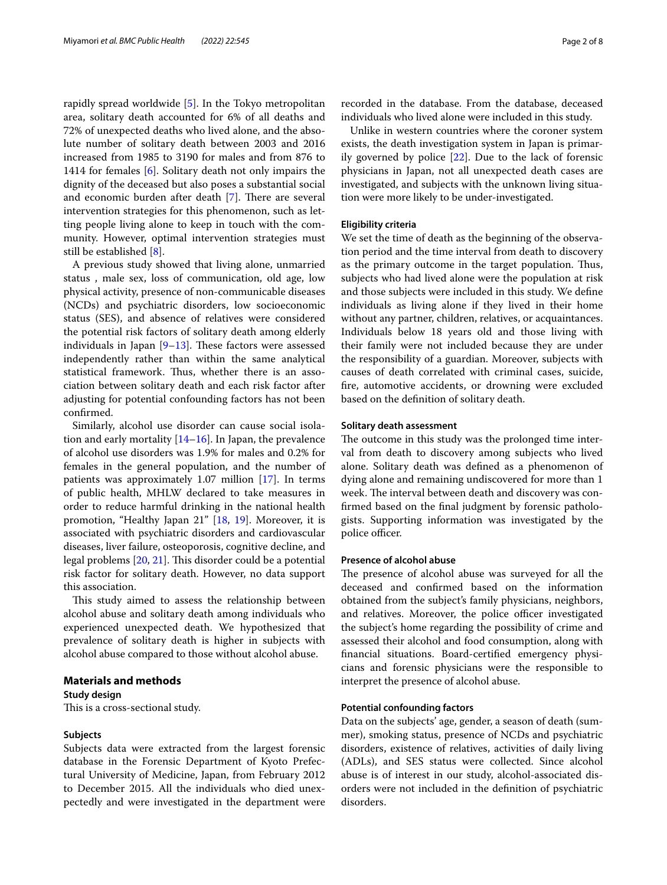rapidly spread worldwide [\[5](#page-6-4)]. In the Tokyo metropolitan area, solitary death accounted for 6% of all deaths and 72% of unexpected deaths who lived alone, and the absolute number of solitary death between 2003 and 2016 increased from 1985 to 3190 for males and from 876 to 1414 for females [[6\]](#page-6-5). Solitary death not only impairs the dignity of the deceased but also poses a substantial social and economic burden after death  $[7]$  $[7]$ . There are several intervention strategies for this phenomenon, such as letting people living alone to keep in touch with the community. However, optimal intervention strategies must still be established [[8\]](#page-6-7).

A previous study showed that living alone, unmarried status , male sex, loss of communication, old age, low physical activity, presence of non-communicable diseases (NCDs) and psychiatric disorders, low socioeconomic status (SES), and absence of relatives were considered the potential risk factors of solitary death among elderly individuals in Japan  $[9-13]$  $[9-13]$ . These factors were assessed independently rather than within the same analytical statistical framework. Thus, whether there is an association between solitary death and each risk factor after adjusting for potential confounding factors has not been confrmed.

Similarly, alcohol use disorder can cause social isolation and early mortality [\[14–](#page-6-10)[16\]](#page-6-11). In Japan, the prevalence of alcohol use disorders was 1.9% for males and 0.2% for females in the general population, and the number of patients was approximately 1.07 million [\[17](#page-6-12)]. In terms of public health, MHLW declared to take measures in order to reduce harmful drinking in the national health promotion, "Healthy Japan 21" [\[18](#page-6-13), [19](#page-6-14)]. Moreover, it is associated with psychiatric disorders and cardiovascular diseases, liver failure, osteoporosis, cognitive decline, and legal problems [[20,](#page-6-15) [21](#page-6-16)]. This disorder could be a potential risk factor for solitary death. However, no data support this association.

This study aimed to assess the relationship between alcohol abuse and solitary death among individuals who experienced unexpected death. We hypothesized that prevalence of solitary death is higher in subjects with alcohol abuse compared to those without alcohol abuse.

# **Materials and methods**

# **Study design**

This is a cross-sectional study.

# **Subjects**

Subjects data were extracted from the largest forensic database in the Forensic Department of Kyoto Prefectural University of Medicine, Japan, from February 2012 to December 2015. All the individuals who died unexpectedly and were investigated in the department were

recorded in the database. From the database, deceased individuals who lived alone were included in this study.

Unlike in western countries where the coroner system exists, the death investigation system in Japan is primarily governed by police [\[22\]](#page-6-17). Due to the lack of forensic physicians in Japan, not all unexpected death cases are investigated, and subjects with the unknown living situation were more likely to be under-investigated.

# **Eligibility criteria**

We set the time of death as the beginning of the observation period and the time interval from death to discovery as the primary outcome in the target population. Thus, subjects who had lived alone were the population at risk and those subjects were included in this study. We defne individuals as living alone if they lived in their home without any partner, children, relatives, or acquaintances. Individuals below 18 years old and those living with their family were not included because they are under the responsibility of a guardian. Moreover, subjects with causes of death correlated with criminal cases, suicide, fre, automotive accidents, or drowning were excluded based on the defnition of solitary death.

# **Solitary death assessment**

The outcome in this study was the prolonged time interval from death to discovery among subjects who lived alone. Solitary death was defned as a phenomenon of dying alone and remaining undiscovered for more than 1 week. The interval between death and discovery was confrmed based on the fnal judgment by forensic pathologists. Supporting information was investigated by the police officer.

# **Presence of alcohol abuse**

The presence of alcohol abuse was surveyed for all the deceased and confrmed based on the information obtained from the subject's family physicians, neighbors, and relatives. Moreover, the police officer investigated the subject's home regarding the possibility of crime and assessed their alcohol and food consumption, along with fnancial situations. Board-certifed emergency physicians and forensic physicians were the responsible to interpret the presence of alcohol abuse.

# **Potential confounding factors**

Data on the subjects' age, gender, a season of death (summer), smoking status, presence of NCDs and psychiatric disorders, existence of relatives, activities of daily living (ADLs), and SES status were collected. Since alcohol abuse is of interest in our study, alcohol-associated disorders were not included in the defnition of psychiatric disorders.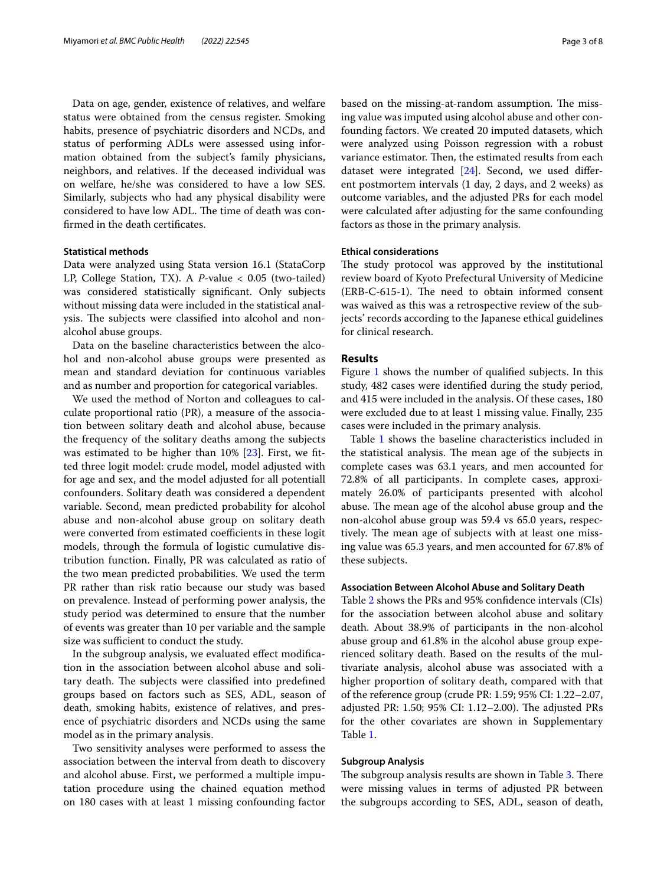Data on age, gender, existence of relatives, and welfare status were obtained from the census register. Smoking habits, presence of psychiatric disorders and NCDs, and status of performing ADLs were assessed using information obtained from the subject's family physicians, neighbors, and relatives. If the deceased individual was on welfare, he/she was considered to have a low SES. Similarly, subjects who had any physical disability were considered to have low ADL. The time of death was confrmed in the death certifcates.

# **Statistical methods**

Data were analyzed using Stata version 16.1 (StataCorp LP, College Station, TX). A *P-*value < 0.05 (two-tailed) was considered statistically signifcant. Only subjects without missing data were included in the statistical analysis. The subjects were classified into alcohol and nonalcohol abuse groups.

Data on the baseline characteristics between the alcohol and non-alcohol abuse groups were presented as mean and standard deviation for continuous variables and as number and proportion for categorical variables.

We used the method of Norton and colleagues to calculate proportional ratio (PR), a measure of the association between solitary death and alcohol abuse, because the frequency of the solitary deaths among the subjects was estimated to be higher than 10% [\[23](#page-6-18)]. First, we ftted three logit model: crude model, model adjusted with for age and sex, and the model adjusted for all potentiall confounders. Solitary death was considered a dependent variable. Second, mean predicted probability for alcohol abuse and non-alcohol abuse group on solitary death were converted from estimated coefficients in these logit models, through the formula of logistic cumulative distribution function. Finally, PR was calculated as ratio of the two mean predicted probabilities. We used the term PR rather than risk ratio because our study was based on prevalence. Instead of performing power analysis, the study period was determined to ensure that the number of events was greater than 10 per variable and the sample size was sufficient to conduct the study.

In the subgroup analysis, we evaluated efect modifcation in the association between alcohol abuse and solitary death. The subjects were classified into predefined groups based on factors such as SES, ADL, season of death, smoking habits, existence of relatives, and presence of psychiatric disorders and NCDs using the same model as in the primary analysis.

Two sensitivity analyses were performed to assess the association between the interval from death to discovery and alcohol abuse. First, we performed a multiple imputation procedure using the chained equation method on 180 cases with at least 1 missing confounding factor

based on the missing-at-random assumption. The missing value was imputed using alcohol abuse and other confounding factors. We created 20 imputed datasets, which were analyzed using Poisson regression with a robust variance estimator. Then, the estimated results from each dataset were integrated [\[24](#page-6-19)]. Second, we used diferent postmortem intervals (1 day, 2 days, and 2 weeks) as outcome variables, and the adjusted PRs for each model were calculated after adjusting for the same confounding factors as those in the primary analysis.

# **Ethical considerations**

The study protocol was approved by the institutional review board of Kyoto Prefectural University of Medicine (ERB-C-615-1). The need to obtain informed consent was waived as this was a retrospective review of the subjects' records according to the Japanese ethical guidelines for clinical research.

# **Results**

Figure [1](#page-3-0) shows the number of qualifed subjects. In this study, 482 cases were identifed during the study period, and 415 were included in the analysis. Of these cases, 180 were excluded due to at least 1 missing value. Finally, 235 cases were included in the primary analysis.

Table [1](#page-3-1) shows the baseline characteristics included in the statistical analysis. The mean age of the subjects in complete cases was 63.1 years, and men accounted for 72.8% of all participants. In complete cases, approximately 26.0% of participants presented with alcohol abuse. The mean age of the alcohol abuse group and the non-alcohol abuse group was 59.4 vs 65.0 years, respectively. The mean age of subjects with at least one missing value was 65.3 years, and men accounted for 67.8% of these subjects.

# **Association Between Alcohol Abuse and Solitary Death**

Table [2](#page-4-0) shows the PRs and 95% confdence intervals (CIs) for the association between alcohol abuse and solitary death. About 38.9% of participants in the non-alcohol abuse group and 61.8% in the alcohol abuse group experienced solitary death. Based on the results of the multivariate analysis, alcohol abuse was associated with a higher proportion of solitary death, compared with that of the reference group (crude PR: 1.59; 95% CI: 1.22–2.07, adjusted PR: 1.50; 95% CI: 1.12–2.00). The adjusted PRs for the other covariates are shown in Supplementary Table [1](#page-6-20).

# **Subgroup Analysis**

The subgroup analysis results are shown in Table [3.](#page-4-1) There were missing values in terms of adjusted PR between the subgroups according to SES, ADL, season of death,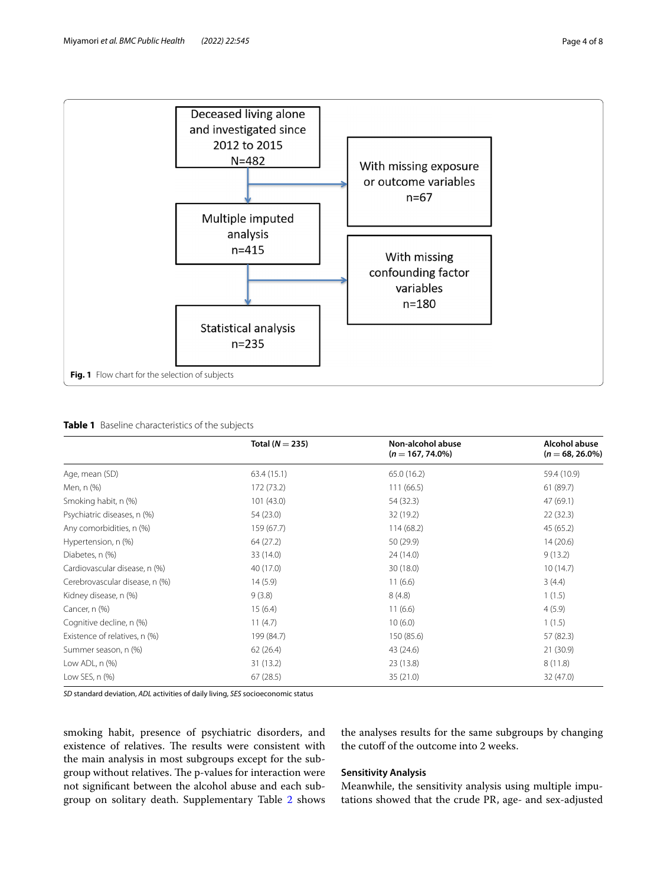

# <span id="page-3-1"></span><span id="page-3-0"></span>**Table 1** Baseline characteristics of the subjects

|                                | Total ( $N = 235$ ) | Non-alcohol abuse<br>$(n = 167, 74.0\%)$ | Alcohol abuse<br>$(n = 68, 26.0\%)$ |
|--------------------------------|---------------------|------------------------------------------|-------------------------------------|
|                                |                     |                                          |                                     |
| Age, mean (SD)                 | 63.4(15.1)          | 65.0 (16.2)                              | 59.4 (10.9)                         |
| Men, n (%)                     | 172 (73.2)          | 111(66.5)                                | 61(89.7)                            |
| Smoking habit, n (%)           | 101(43.0)           | 54 (32.3)                                | 47 (69.1)                           |
| Psychiatric diseases, n (%)    | 54 (23.0)           | 32 (19.2)                                | 22(32.3)                            |
| Any comorbidities, n (%)       | 159 (67.7)          | 114(68.2)                                | 45 (65.2)                           |
| Hypertension, n (%)            | 64 (27.2)           | 50 (29.9)                                | 14(20.6)                            |
| Diabetes, n (%)                | 33 (14.0)           | 24 (14.0)                                | 9(13.2)                             |
| Cardiovascular disease, n (%)  | 40 (17.0)           | 30 (18.0)                                | 10(14.7)                            |
| Cerebrovascular disease, n (%) | 14(5.9)             | 11(6.6)                                  | 3(4.4)                              |
| Kidney disease, n (%)          | 9(3.8)              | 8(4.8)                                   | 1(1.5)                              |
| Cancer, n (%)                  | 15(6.4)             | 11(6.6)                                  | 4(5.9)                              |
| Cognitive decline, n (%)       | 11(4.7)             | 10(6.0)                                  | 1(1.5)                              |
| Existence of relatives, n (%)  | 199 (84.7)          | 150 (85.6)                               | 57 (82.3)                           |
| Summer season, n (%)           | 62(26.4)            | 43 (24.6)                                | 21 (30.9)                           |
| Low ADL, $n$ $(\%)$            | 31 (13.2)           | 23 (13.8)                                | 8(11.8)                             |
| Low SES, $n$ $(\%)$            | 67(28.5)            | 35 (21.0)                                | 32 (47.0)                           |

*SD* standard deviation, *ADL* activities of daily living, *SES* socioeconomic status

smoking habit, presence of psychiatric disorders, and existence of relatives. The results were consistent with the main analysis in most subgroups except for the subgroup without relatives. The p-values for interaction were not signifcant between the alcohol abuse and each subgroup on solitary death. Supplementary Table [2](#page-6-20) shows

# the analyses results for the same subgroups by changing the cutoff of the outcome into 2 weeks.

## **Sensitivity Analysis**

Meanwhile, the sensitivity analysis using multiple imputations showed that the crude PR, age- and sex-adjusted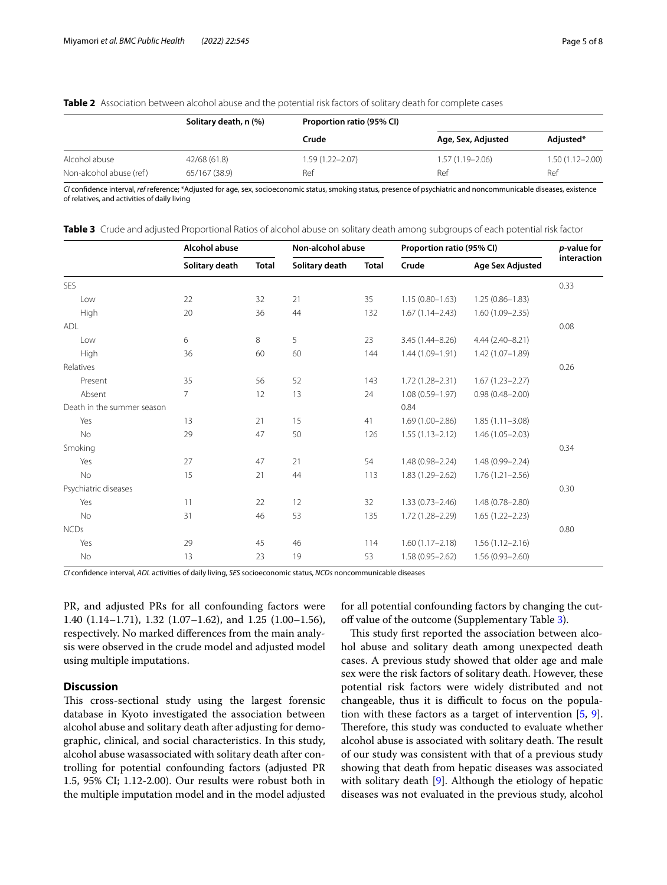<span id="page-4-0"></span>

| <b>Table 2</b> Association between alcohol abuse and the potential risk factors of solitary death for complete cases |  |
|----------------------------------------------------------------------------------------------------------------------|--|
|----------------------------------------------------------------------------------------------------------------------|--|

|                         | Solitary death, n (%) | Proportion ratio (95% CI) |                     |                     |
|-------------------------|-----------------------|---------------------------|---------------------|---------------------|
|                         |                       | Crude                     | Age, Sex, Adjusted  | Adjusted*           |
| Alcohol abuse           | 42/68 (61.8)          | $1.59(1.22 - 2.07)$       | $1.57(1.19 - 2.06)$ | $1.50(1.12 - 2.00)$ |
| Non-alcohol abuse (ref) | 65/167 (38.9)         | Ref                       | Ref                 | Ref                 |

*CI* confdence interval, *ref* reference; \*Adjusted for age, sex, socioeconomic status, smoking status, presence of psychiatric and noncommunicable diseases, existence of relatives, and activities of daily living

|                            | Alcohol abuse  |              | Non-alcohol abuse |              | Proportion ratio (95% CI) |                     | p-value for |
|----------------------------|----------------|--------------|-------------------|--------------|---------------------------|---------------------|-------------|
|                            | Solitary death | <b>Total</b> | Solitary death    | <b>Total</b> | Crude                     | Age Sex Adjusted    | interaction |
| <b>SES</b>                 |                |              |                   |              |                           |                     | 0.33        |
| Low                        | 22             | 32           | 21                | 35           | $1.15(0.80 - 1.63)$       | $1.25(0.86 - 1.83)$ |             |
| High                       | 20             | 36           | 44                | 132          | $1.67(1.14 - 2.43)$       | $1.60(1.09 - 2.35)$ |             |
| <b>ADL</b>                 |                |              |                   |              |                           |                     | 0.08        |
| Low                        | 6              | 8            | 5                 | 23           | $3.45(1.44 - 8.26)$       | 4.44 (2.40-8.21)    |             |
| High                       | 36             | 60           | 60                | 144          | 1.44 (1.09-1.91)          | $1.42(1.07 - 1.89)$ |             |
| Relatives                  |                |              |                   |              |                           |                     | 0.26        |
| Present                    | 35             | 56           | 52                | 143          | $1.72(1.28 - 2.31)$       | $1.67(1.23 - 2.27)$ |             |
| Absent                     | $\overline{7}$ | 12           | 13                | 24           | $1.08(0.59 - 1.97)$       | $0.98(0.48 - 2.00)$ |             |
| Death in the summer season |                |              |                   |              | 0.84                      |                     |             |
| Yes                        | 13             | 21           | 15                | 41           | $1.69(1.00 - 2.86)$       | $1.85(1.11 - 3.08)$ |             |
| <b>No</b>                  | 29             | 47           | 50                | 126          | $1.55(1.13 - 2.12)$       | $1.46(1.05 - 2.03)$ |             |
| Smoking                    |                |              |                   |              |                           |                     | 0.34        |
| Yes                        | 27             | 47           | 21                | 54           | $1.48(0.98 - 2.24)$       | 1.48 (0.99-2.24)    |             |
| No                         | 15             | 21           | 44                | 113          | 1.83 (1.29-2.62)          | $1.76(1.21 - 2.56)$ |             |
| Psychiatric diseases       |                |              |                   |              |                           |                     | 0.30        |
| Yes                        | 11             | 22           | 12                | 32           | $1.33(0.73 - 2.46)$       | 1.48 (0.78-2.80)    |             |
| <b>No</b>                  | 31             | 46           | 53                | 135          | $1.72(1.28 - 2.29)$       | $1.65(1.22 - 2.23)$ |             |
| <b>NCDs</b>                |                |              |                   |              |                           |                     | 0.80        |
| Yes                        | 29             | 45           | 46                | 114          | $1.60(1.17 - 2.18)$       | $1.56(1.12 - 2.16)$ |             |
| No                         | 13             | 23           | 19                | 53           | $1.58(0.95 - 2.62)$       | $1.56(0.93 - 2.60)$ |             |

<span id="page-4-1"></span>**Table 3** Crude and adjusted Proportional Ratios of alcohol abuse on solitary death among subgroups of each potential risk factor

*CI* confdence interval, *ADL* activities of daily living, *SES* socioeconomic status, *NCDs* noncommunicable diseases

PR, and adjusted PRs for all confounding factors were 1.40 (1.14–1.71), 1.32 (1.07–1.62), and 1.25 (1.00–1.56), respectively. No marked diferences from the main analysis were observed in the crude model and adjusted model using multiple imputations.

# **Discussion**

This cross-sectional study using the largest forensic database in Kyoto investigated the association between alcohol abuse and solitary death after adjusting for demographic, clinical, and social characteristics. In this study, alcohol abuse wasassociated with solitary death after controlling for potential confounding factors (adjusted PR 1.5, 95% CI; 1.12-2.00). Our results were robust both in the multiple imputation model and in the model adjusted for all potential confounding factors by changing the cut-off value of the outcome (Supplementary Table [3\)](#page-6-20).

This study first reported the association between alcohol abuse and solitary death among unexpected death cases. A previous study showed that older age and male sex were the risk factors of solitary death. However, these potential risk factors were widely distributed and not changeable, thus it is difficult to focus on the population with these factors as a target of intervention  $[5, 9]$  $[5, 9]$  $[5, 9]$  $[5, 9]$  $[5, 9]$ . Therefore, this study was conducted to evaluate whether alcohol abuse is associated with solitary death. The result of our study was consistent with that of a previous study showing that death from hepatic diseases was associated with solitary death [\[9](#page-6-8)]. Although the etiology of hepatic diseases was not evaluated in the previous study, alcohol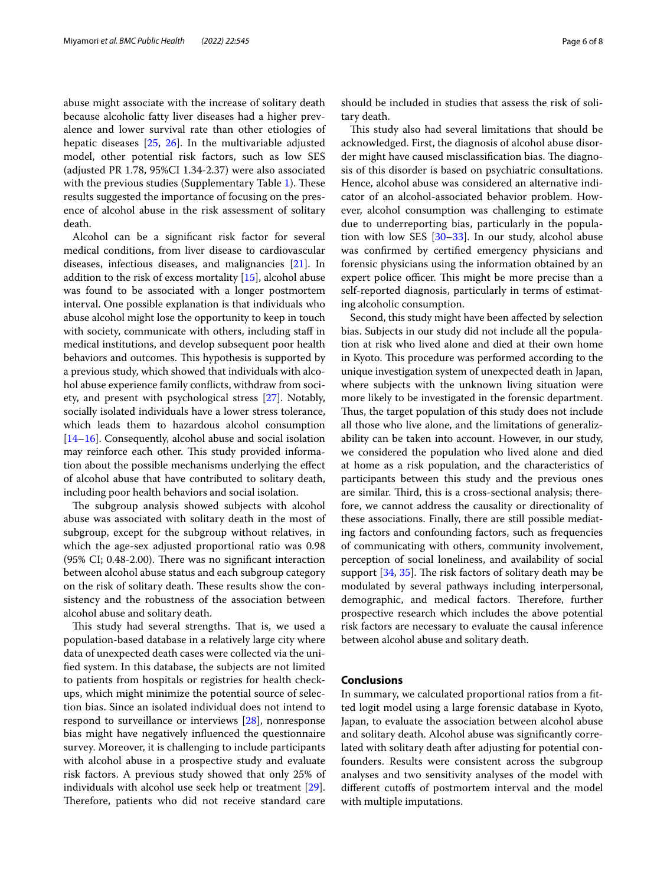abuse might associate with the increase of solitary death because alcoholic fatty liver diseases had a higher prevalence and lower survival rate than other etiologies of hepatic diseases [\[25](#page-6-21), [26\]](#page-6-22). In the multivariable adjusted model, other potential risk factors, such as low SES (adjusted PR 1.78, 95%CI 1.34-2.37) were also associated with the previous studies (Supplementary Table  $1$ ). These results suggested the importance of focusing on the presence of alcohol abuse in the risk assessment of solitary death.

Alcohol can be a signifcant risk factor for several medical conditions, from liver disease to cardiovascular diseases, infectious diseases, and malignancies [\[21\]](#page-6-16). In addition to the risk of excess mortality [\[15\]](#page-6-23), alcohol abuse was found to be associated with a longer postmortem interval. One possible explanation is that individuals who abuse alcohol might lose the opportunity to keep in touch with society, communicate with others, including staff in medical institutions, and develop subsequent poor health behaviors and outcomes. This hypothesis is supported by a previous study, which showed that individuals with alcohol abuse experience family conficts, withdraw from society, and present with psychological stress [[27](#page-6-24)]. Notably, socially isolated individuals have a lower stress tolerance, which leads them to hazardous alcohol consumption [[14](#page-6-10)[–16](#page-6-11)]. Consequently, alcohol abuse and social isolation may reinforce each other. This study provided information about the possible mechanisms underlying the efect of alcohol abuse that have contributed to solitary death, including poor health behaviors and social isolation.

The subgroup analysis showed subjects with alcohol abuse was associated with solitary death in the most of subgroup, except for the subgroup without relatives, in which the age-sex adjusted proportional ratio was 0.98  $(95\% \text{ CI}; 0.48-2.00)$ . There was no significant interaction between alcohol abuse status and each subgroup category on the risk of solitary death. These results show the consistency and the robustness of the association between alcohol abuse and solitary death.

This study had several strengths. That is, we used a population-based database in a relatively large city where data of unexpected death cases were collected via the unifed system. In this database, the subjects are not limited to patients from hospitals or registries for health checkups, which might minimize the potential source of selection bias. Since an isolated individual does not intend to respond to surveillance or interviews [\[28](#page-6-25)], nonresponse bias might have negatively infuenced the questionnaire survey. Moreover, it is challenging to include participants with alcohol abuse in a prospective study and evaluate risk factors. A previous study showed that only 25% of individuals with alcohol use seek help or treatment [\[29](#page-6-26)]. Therefore, patients who did not receive standard care

should be included in studies that assess the risk of solitary death.

This study also had several limitations that should be acknowledged. First, the diagnosis of alcohol abuse disorder might have caused misclassification bias. The diagnosis of this disorder is based on psychiatric consultations. Hence, alcohol abuse was considered an alternative indicator of an alcohol-associated behavior problem. However, alcohol consumption was challenging to estimate due to underreporting bias, particularly in the population with low SES  $[30-33]$  $[30-33]$ . In our study, alcohol abuse was confrmed by certifed emergency physicians and forensic physicians using the information obtained by an expert police officer. This might be more precise than a self-reported diagnosis, particularly in terms of estimating alcoholic consumption.

Second, this study might have been afected by selection bias. Subjects in our study did not include all the population at risk who lived alone and died at their own home in Kyoto. This procedure was performed according to the unique investigation system of unexpected death in Japan, where subjects with the unknown living situation were more likely to be investigated in the forensic department. Thus, the target population of this study does not include all those who live alone, and the limitations of generalizability can be taken into account. However, in our study, we considered the population who lived alone and died at home as a risk population, and the characteristics of participants between this study and the previous ones are similar. Third, this is a cross-sectional analysis; therefore, we cannot address the causality or directionality of these associations. Finally, there are still possible mediating factors and confounding factors, such as frequencies of communicating with others, community involvement, perception of social loneliness, and availability of social support  $[34, 35]$  $[34, 35]$  $[34, 35]$ . The risk factors of solitary death may be modulated by several pathways including interpersonal, demographic, and medical factors. Therefore, further prospective research which includes the above potential risk factors are necessary to evaluate the causal inference between alcohol abuse and solitary death.

# **Conclusions**

In summary, we calculated proportional ratios from a ftted logit model using a large forensic database in Kyoto, Japan, to evaluate the association between alcohol abuse and solitary death. Alcohol abuse was signifcantly correlated with solitary death after adjusting for potential confounders. Results were consistent across the subgroup analyses and two sensitivity analyses of the model with diferent cutofs of postmortem interval and the model with multiple imputations.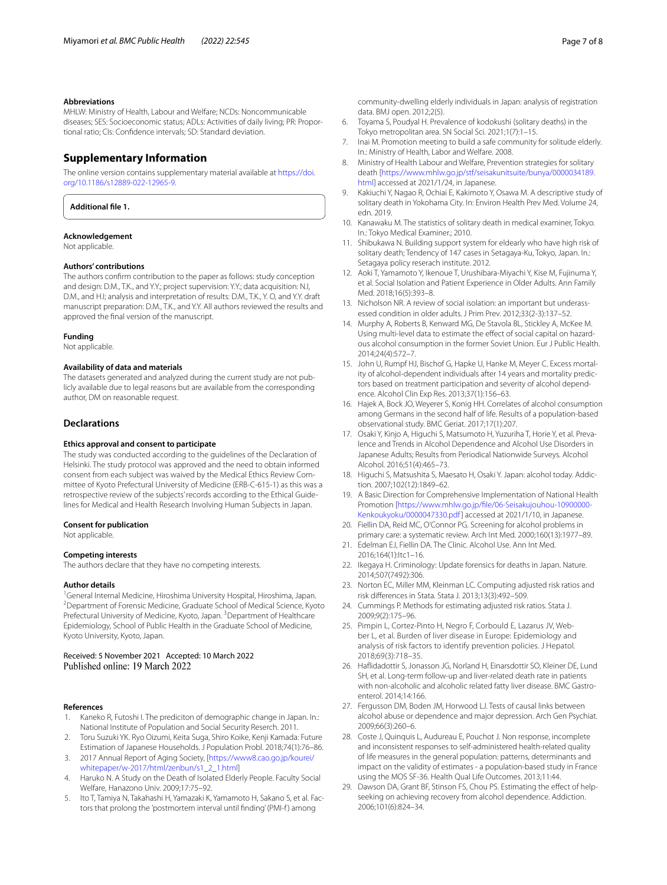#### **Abbreviations**

MHLW: Ministry of Health, Labour and Welfare; NCDs: Noncommunicable diseases; SES: Socioeconomic status; ADLs: Activities of daily living; PR: Proportional ratio; CIs: Confdence intervals; SD: Standard deviation.

# **Supplementary Information**

The online version contains supplementary material available at [https://doi.](https://doi.org/10.1186/s12889-022-12965-9) [org/10.1186/s12889-022-12965-9](https://doi.org/10.1186/s12889-022-12965-9).

<span id="page-6-20"></span>**Additional fle 1.**

# **Acknowledgement**

Not applicable.

# **Authors' contributions**

The authors confrm contribution to the paper as follows: study conception and design: D.M., T.K., and Y.Y.; project supervision: Y.Y.; data acquisition: N.I, D.M., and H.I; analysis and interpretation of results: D.M., T.K., Y. O, and Y.Y. draft manuscript preparation: D.M., T.K., and Y.Y. All authors reviewed the results and approved the fnal version of the manuscript.

#### **Funding**

Not applicable.

#### **Availability of data and materials**

The datasets generated and analyzed during the current study are not publicly available due to legal reasons but are available from the corresponding author, DM on reasonable request.

#### **Declarations**

#### **Ethics approval and consent to participate**

The study was conducted according to the guidelines of the Declaration of Helsinki. The study protocol was approved and the need to obtain informed consent from each subject was waived by the Medical Ethics Review Committee of Kyoto Prefectural University of Medicine (ERB-C-615-1) as this was a retrospective review of the subjects' records according to the Ethical Guidelines for Medical and Health Research Involving Human Subjects in Japan.

### **Consent for publication**

Not applicable.

#### **Competing interests**

The authors declare that they have no competing interests.

#### **Author details**

<sup>1</sup>General Internal Medicine, Hiroshima University Hospital, Hiroshima, Japan. <sup>2</sup> Department of Forensic Medicine, Graduate School of Medical Science, Kyoto Prefectural University of Medicine, Kyoto, Japan. <sup>3</sup> Department of Healthcare Epidemiology, School of Public Health in the Graduate School of Medicine, Kyoto University, Kyoto, Japan.

# Received: 5 November 2021 Accepted: 10 March 2022

#### **References**

- <span id="page-6-0"></span>Kaneko R, Futoshi I. The prediciton of demographic change in Japan. In.: National Institute of Population and Social Security Reserch. 2011.
- <span id="page-6-1"></span>2. Toru Suzuki YK. Ryo Oizumi, Keita Suga, Shiro Koike, Kenji Kamada: Future Estimation of Japanese Households. J Population Probl. 2018;74(1):76–86.
- <span id="page-6-2"></span>3. 2017 Annual Report of Aging Society, [[https://www8.cao.go.jp/kourei/](https://www8.cao.go.jp/kourei/whitepaper/w-2017/html/zenbun/s1_2_1.html) [whitepaper/w-2017/html/zenbun/s1\\_2\\_1.html](https://www8.cao.go.jp/kourei/whitepaper/w-2017/html/zenbun/s1_2_1.html)]
- <span id="page-6-3"></span>4. Haruko N. A Study on the Death of Isolated Elderly People. Faculty Social Welfare, Hanazono Univ. 2009;17:75–92.
- <span id="page-6-4"></span>5. Ito T, Tamiya N, Takahashi H, Yamazaki K, Yamamoto H, Sakano S, et al. Factors that prolong the 'postmortem interval until finding' (PMI-f) among
- <span id="page-6-5"></span>6. Toyama S, Poudyal H. Prevalence of kodokushi (solitary deaths) in the Tokyo metropolitan area. SN Social Sci. 2021;1(7):1–15.
- <span id="page-6-6"></span>7. Inai M. Promotion meeting to build a safe community for solitude elderly. In.: Ministry of Health, Labor and Welfare. 2008.
- <span id="page-6-7"></span>8. Ministry of Health Labour and Welfare, Prevention strategies for solitary death [[https://www.mhlw.go.jp/stf/seisakunitsuite/bunya/0000034189.](https://www.mhlw.go.jp/stf/seisakunitsuite/bunya/0000034189.html) [html\]](https://www.mhlw.go.jp/stf/seisakunitsuite/bunya/0000034189.html) accessed at 2021/1/24, in Japanese.
- <span id="page-6-8"></span>9. Kakiuchi Y, Nagao R, Ochiai E, Kakimoto Y, Osawa M. A descriptive study of solitary death in Yokohama City. In: Environ Health Prev Med. Volume 24, edn. 2019.
- 10. Kanawaku M. The statistics of solitary death in medical examiner, Tokyo. In.: Tokyo Medical Examiner.; 2010.
- 11. Shibukawa N. Building support system for eldearly who have high risk of solitary death; Tendency of 147 cases in Setagaya-Ku, Tokyo, Japan. In.: Setagaya policy reserach institute. 2012.
- 12. Aoki T, Yamamoto Y, Ikenoue T, Urushibara-Miyachi Y, Kise M, Fujinuma Y, et al. Social Isolation and Patient Experience in Older Adults. Ann Family Med. 2018;16(5):393–8.
- <span id="page-6-9"></span>13. Nicholson NR. A review of social isolation: an important but underassessed condition in older adults. J Prim Prev. 2012;33(2-3):137–52.
- <span id="page-6-10"></span>14. Murphy A, Roberts B, Kenward MG, De Stavola BL, Stickley A, McKee M. Using multi-level data to estimate the efect of social capital on hazardous alcohol consumption in the former Soviet Union. Eur J Public Health. 2014;24(4):572–7.
- <span id="page-6-23"></span>15. John U, Rumpf HJ, Bischof G, Hapke U, Hanke M, Meyer C. Excess mortality of alcohol-dependent individuals after 14 years and mortality predictors based on treatment participation and severity of alcohol dependence. Alcohol Clin Exp Res. 2013;37(1):156–63.
- <span id="page-6-11"></span>16. Hajek A, Bock JO, Weyerer S, Konig HH. Correlates of alcohol consumption among Germans in the second half of life. Results of a population-based observational study. BMC Geriat. 2017;17(1):207.
- <span id="page-6-12"></span>17. Osaki Y, Kinjo A, Higuchi S, Matsumoto H, Yuzuriha T, Horie Y, et al. Prevalence and Trends in Alcohol Dependence and Alcohol Use Disorders in Japanese Adults; Results from Periodical Nationwide Surveys. Alcohol Alcohol. 2016;51(4):465–73.
- <span id="page-6-13"></span>18. Higuchi S, Matsushita S, Maesato H, Osaki Y. Japan: alcohol today. Addiction. 2007;102(12):1849–62.
- <span id="page-6-14"></span>19. A Basic Direction for Comprehensive Implementation of National Health Promotion [\[https://www.mhlw.go.jp/fle/06-Seisakujouhou-10900000-](https://www.mhlw.go.jp/file/06-Seisakujouhou-10900000-Kenkoukyoku/0000047330.pdf) [Kenkoukyoku/0000047330.pdf\]](https://www.mhlw.go.jp/file/06-Seisakujouhou-10900000-Kenkoukyoku/0000047330.pdf) accessed at 2021/1/10, in Japanese.
- <span id="page-6-15"></span>20. Fiellin DA, Reid MC, O'Connor PG. Screening for alcohol problems in primary care: a systematic review. Arch Int Med. 2000;160(13):1977–89.
- <span id="page-6-16"></span>21. Edelman EJ, Fiellin DA. The Clinic. Alcohol Use. Ann Int Med. 2016;164(1):Itc1–16.
- <span id="page-6-17"></span>22. Ikegaya H. Criminology: Update forensics for deaths in Japan. Nature. 2014;507(7492):306.
- <span id="page-6-18"></span>23. Norton EC, Miller MM, Kleinman LC. Computing adjusted risk ratios and risk diferences in Stata. Stata J. 2013;13(3):492–509.
- <span id="page-6-19"></span>24. Cummings P. Methods for estimating adjusted risk ratios. Stata J. 2009;9(2):175–96.
- <span id="page-6-21"></span>25. Pimpin L, Cortez-Pinto H, Negro F, Corbould E, Lazarus JV, Webber L, et al. Burden of liver disease in Europe: Epidemiology and analysis of risk factors to identify prevention policies. J Hepatol. 2018;69(3):718–35.
- <span id="page-6-22"></span>26. Hafidadottir S, Jonasson JG, Norland H, Einarsdottir SO, Kleiner DE, Lund SH, et al. Long-term follow-up and liver-related death rate in patients with non-alcoholic and alcoholic related fatty liver disease. BMC Gastroenterol. 2014;14:166.
- <span id="page-6-24"></span>27. Fergusson DM, Boden JM, Horwood LJ. Tests of causal links between alcohol abuse or dependence and major depression. Arch Gen Psychiat. 2009;66(3):260–6.
- <span id="page-6-25"></span>28. Coste J, Quinquis L, Audureau E, Pouchot J. Non response, incomplete and inconsistent responses to self-administered health-related quality of life measures in the general population: patterns, determinants and impact on the validity of estimates - a population-based study in France using the MOS SF-36. Health Qual Life Outcomes. 2013;11:44.
- <span id="page-6-26"></span>29. Dawson DA, Grant BF, Stinson FS, Chou PS. Estimating the effect of helpseeking on achieving recovery from alcohol dependence. Addiction. 2006;101(6):824–34.